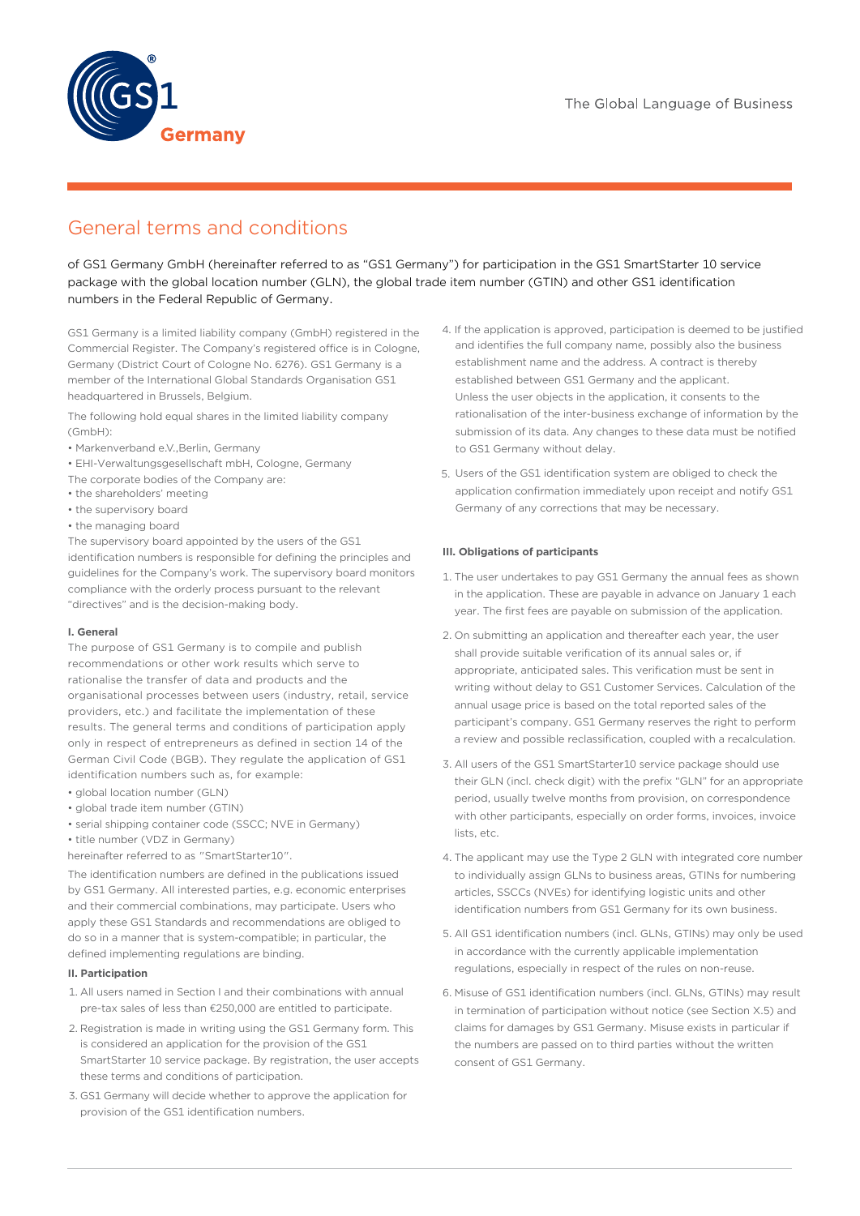# General terms and conditions

of GS1 Germany GmbH (hereinafter referred to as "GS1 Germany") for participation in the GS1 SmartStarter 10 service package with the global location number (GLN), the global trade item number (GTIN) and other GS1 identification numbers in the Federal Republic of Germany.

GS1 Germany is a limited liability company (GmbH) registered in the Commercial Register. The Company's registered office is in Cologne, Germany (District Court of Cologne No. 6276). GS1 Germany is a member of the International Global Standards Organisation GS1 headquartered in Brussels, Belgium.

The following hold equal shares in the limited liability company (GmbH):

- Markenverband e.V.,Berlin, Germany
- EHI-Verwaltungsgesellschaft mbH, Cologne, Germany
- The corporate bodies of the Company are:
- the shareholders' meeting
- the supervisory board
- the managing board

The supervisory board appointed by the users of the GS1 identification numbers is responsible for defining the principles and guidelines for the Company's work. The supervisory board monitors compliance with the orderly process pursuant to the relevant "directives" and is the decision-making body.

### **I. General**

The purpose of GS1 Germany is to compile and publish recommendations or other work results which serve to rationalise the transfer of data and products and the organisational processes between users (industry, retail, service providers, etc.) and facilitate the implementation of these results. The general terms and conditions of participation apply only in respect of entrepreneurs as defined in section 14 of the German Civil Code (BGB). They regulate the application of GS1 identification numbers such as, for example:

- global location number (GLN)
- global trade item number (GTIN)
- serial shipping container code (SSCC; NVE in Germany)
- title number (VDZ in Germany)
- hereinafter referred to as "SmartStarter10".

The identification numbers are defined in the publications issued by GS1 Germany. All interested parties, e.g. economic enterprises and their commercial combinations, may participate. Users who apply these GS1 Standards and recommendations are obliged to do so in a manner that is system-compatible; in particular, the defined implementing regulations are binding.

# **II. Participation**

- 1. All users named in Section I and their combinations with annual pre-tax sales of less than €250,000 are entitled to participate.
- 2. Registration is made in writing using the GS1 Germany form. This is considered an application for the provision of the GS1 SmartStarter 10 service package. By registration, the user accepts these terms and conditions of participation.
- 3. GS1 Germany will decide whether to approve the application for provision of the GS1 identification numbers.
- 4. If the application is approved, participation is deemed to be justified and identifies the full company name, possibly also the business establishment name and the address. A contract is thereby established between GS1 Germany and the applicant. Unless the user objects in the application, it consents to the rationalisation of the inter-business exchange of information by the submission of its data. Any changes to these data must be notified to GS1 Germany without delay.
- Users of the GS1 identification system are obliged to check the 5.application confirmation immediately upon receipt and notify GS1 Germany of any corrections that may be necessary.

### **III. Obligations of participants**

- 1. The user undertakes to pay GS1 Germany the annual fees as shown in the application. These are payable in advance on January 1 each year. The first fees are payable on submission of the application.
- 2. On submitting an application and thereafter each year, the user shall provide suitable verification of its annual sales or, if appropriate, anticipated sales. This verification must be sent in writing without delay to GS1 Customer Services. Calculation of the annual usage price is based on the total reported sales of the participant's company. GS1 Germany reserves the right to perform a review and possible reclassification, coupled with a recalculation.
- 3. All users of the GS1 SmartStarter10 service package should use their GLN (incl. check digit) with the prefix "GLN" for an appropriate period, usually twelve months from provision, on correspondence with other participants, especially on order forms, invoices, invoice lists, etc.
- 4. The applicant may use the Type 2 GLN with integrated core number to individually assign GLNs to business areas, GTINs for numbering articles, SSCCs (NVEs) for identifying logistic units and other identification numbers from GS1 Germany for its own business.
- 5. All GS1 identification numbers (incl. GLNs, GTINs) may only be used in accordance with the currently applicable implementation regulations, especially in respect of the rules on non-reuse.
- 6. Misuse of GS1 identification numbers (incl. GLNs, GTINs) may result in termination of participation without notice (see Section X.5) and claims for damages by GS1 Germany. Misuse exists in particular if the numbers are passed on to third parties without the written consent of GS1 Germany.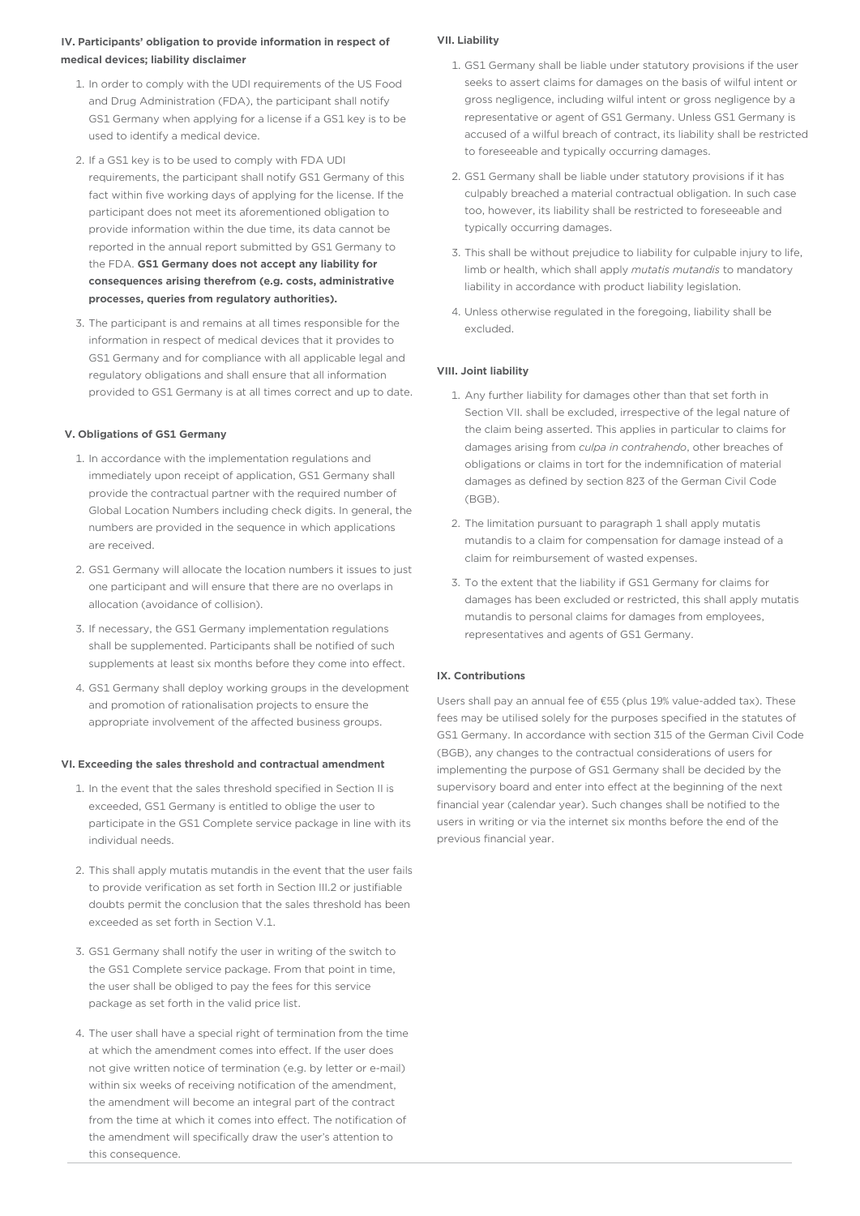# **IV. Participants' obligation to provide information in respect of medical devices; liability disclaimer**

- 1. In order to comply with the UDI requirements of the US Food and Drug Administration (FDA), the participant shall notify GS1 Germany when applying for a license if a GS1 key is to be used to identify a medical device.
- 2. If a GS1 key is to be used to comply with FDA UDI requirements, the participant shall notify GS1 Germany of this fact within five working days of applying for the license. If the participant does not meet its aforementioned obligation to provide information within the due time, its data cannot be reported in the annual report submitted by GS1 Germany to the FDA. **GS1 Germany does not accept any liability for consequences arising therefrom (e.g. costs, administrative processes, queries from regulatory authorities).**
- 3. The participant is and remains at all times responsible for the information in respect of medical devices that it provides to GS1 Germany and for compliance with all applicable legal and regulatory obligations and shall ensure that all information provided to GS1 Germany is at all times correct and up to date.

# **V. Obligations of GS1 Germany**

- 1. In accordance with the implementation regulations and immediately upon receipt of application, GS1 Germany shall provide the contractual partner with the required number of Global Location Numbers including check digits. In general, the numbers are provided in the sequence in which applications are received.
- 2. GS1 Germany will allocate the location numbers it issues to just one participant and will ensure that there are no overlaps in allocation (avoidance of collision).
- 3. If necessary, the GS1 Germany implementation regulations shall be supplemented. Participants shall be notified of such supplements at least six months before they come into effect.
- 4. GS1 Germany shall deploy working groups in the development and promotion of rationalisation projects to ensure the appropriate involvement of the affected business groups.

### **VI. Exceeding the sales threshold and contractual amendment**

- 1. In the event that the sales threshold specified in Section II is exceeded, GS1 Germany is entitled to oblige the user to participate in the GS1 Complete service package in line with its individual needs.
- 2. This shall apply mutatis mutandis in the event that the user fails to provide verification as set forth in Section III.2 or justifiable doubts permit the conclusion that the sales threshold has been exceeded as set forth in Section V.1.
- 3. GS1 Germany shall notify the user in writing of the switch to the GS1 Complete service package. From that point in time, the user shall be obliged to pay the fees for this service package as set forth in the valid price list.
- 4. The user shall have a special right of termination from the time at which the amendment comes into effect. If the user does not give written notice of termination (e.g. by letter or e-mail) within six weeks of receiving notification of the amendment, the amendment will become an integral part of the contract from the time at which it comes into effect. The notification of the amendment will specifically draw the user's attention to this consequence.

# **VII. Liability**

- 1. GS1 Germany shall be liable under statutory provisions if the user seeks to assert claims for damages on the basis of wilful intent or gross negligence, including wilful intent or gross negligence by a representative or agent of GS1 Germany. Unless GS1 Germany is accused of a wilful breach of contract, its liability shall be restricted to foreseeable and typically occurring damages.
- 2. GS1 Germany shall be liable under statutory provisions if it has culpably breached a material contractual obligation. In such case too, however, its liability shall be restricted to foreseeable and typically occurring damages.
- 3. This shall be without prejudice to liability for culpable injury to life, limb or health, which shall apply *mutatis mutandis* to mandatory liability in accordance with product liability legislation.
- 4. Unless otherwise regulated in the foregoing, liability shall be excluded.

## **VIII. Joint liability**

- 1. Any further liability for damages other than that set forth in Section VII. shall be excluded, irrespective of the legal nature of the claim being asserted. This applies in particular to claims for damages arising from *culpa in contrahendo*, other breaches of obligations or claims in tort for the indemnification of material damages as defined by section 823 of the German Civil Code (BGB).
- 2. The limitation pursuant to paragraph 1 shall apply mutatis mutandis to a claim for compensation for damage instead of a claim for reimbursement of wasted expenses.
- 3. To the extent that the liability if GS1 Germany for claims for damages has been excluded or restricted, this shall apply mutatis mutandis to personal claims for damages from employees, representatives and agents of GS1 Germany.

### **IX. Contributions**

Users shall pay an annual fee of €55 (plus 19% value-added tax). These fees may be utilised solely for the purposes specified in the statutes of GS1 Germany. In accordance with section 315 of the German Civil Code (BGB), any changes to the contractual considerations of users for implementing the purpose of GS1 Germany shall be decided by the supervisory board and enter into effect at the beginning of the next financial year (calendar year). Such changes shall be notified to the users in writing or via the internet six months before the end of the previous financial year.